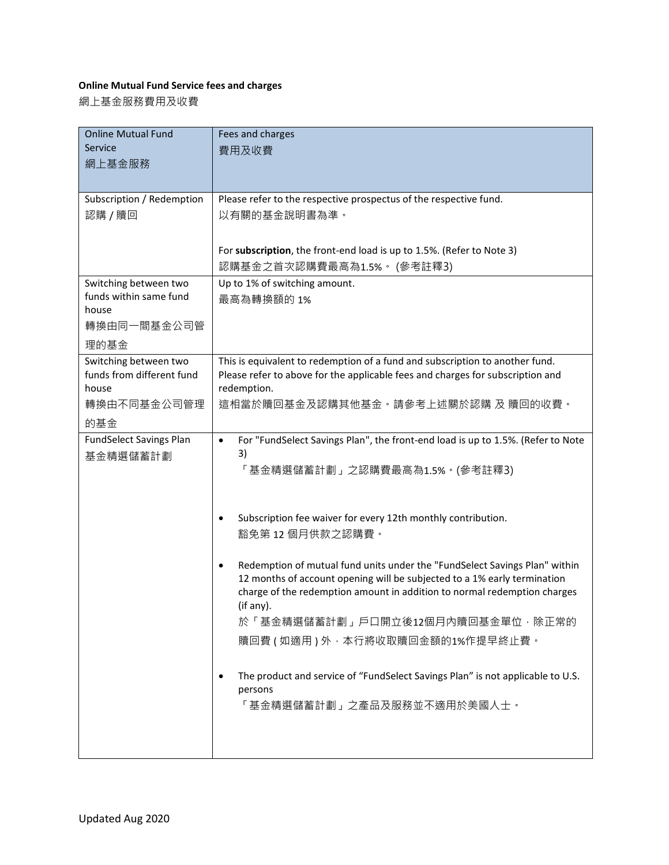## **Online Mutual Fund Service fees and charges**

網上基金服務費用及收費

| <b>Online Mutual Fund</b>                          | Fees and charges                                                                                                                                               |
|----------------------------------------------------|----------------------------------------------------------------------------------------------------------------------------------------------------------------|
| Service                                            | 費用及收費                                                                                                                                                          |
| 網上基金服務                                             |                                                                                                                                                                |
|                                                    |                                                                                                                                                                |
| Subscription / Redemption                          | Please refer to the respective prospectus of the respective fund.                                                                                              |
| 認購 / 贖回                                            | 以有關的基金說明書為準。                                                                                                                                                   |
|                                                    |                                                                                                                                                                |
|                                                    | For subscription, the front-end load is up to 1.5%. (Refer to Note 3)                                                                                          |
|                                                    | 認購基金之首次認購費最高為1.5% · (參考註釋3)                                                                                                                                    |
| Switching between two                              | Up to 1% of switching amount.                                                                                                                                  |
| funds within same fund                             | 最高為轉換額的1%                                                                                                                                                      |
| house<br>轉換由同一間基金公司管                               |                                                                                                                                                                |
|                                                    |                                                                                                                                                                |
| 理的基金                                               |                                                                                                                                                                |
| Switching between two<br>funds from different fund | This is equivalent to redemption of a fund and subscription to another fund.<br>Please refer to above for the applicable fees and charges for subscription and |
| house                                              | redemption.                                                                                                                                                    |
| 轉換由不同基金公司管理                                        | 這相當於贖回基金及認購其他基金。請參考上述關於認購 及 贖回的收費。                                                                                                                             |
| 的基金                                                |                                                                                                                                                                |
| <b>FundSelect Savings Plan</b>                     | For "FundSelect Savings Plan", the front-end load is up to 1.5%. (Refer to Note<br>$\bullet$                                                                   |
| 基金精選儲蓄計劃                                           | 3)                                                                                                                                                             |
|                                                    | 「基金精選儲蓄計劃」之認購費最高為1.5% • (參考註釋3)                                                                                                                                |
|                                                    |                                                                                                                                                                |
|                                                    |                                                                                                                                                                |
|                                                    | Subscription fee waiver for every 12th monthly contribution.<br>$\bullet$                                                                                      |
|                                                    | 豁免第 12 個月供款之認購費。                                                                                                                                               |
|                                                    | Redemption of mutual fund units under the "FundSelect Savings Plan" within<br>$\bullet$                                                                        |
|                                                    | 12 months of account opening will be subjected to a 1% early termination                                                                                       |
|                                                    | charge of the redemption amount in addition to normal redemption charges                                                                                       |
|                                                    | (if any).                                                                                                                                                      |
|                                                    | 於「基金精選儲蓄計劃」戶口開立後12個月內贖回基金單位,除正常的                                                                                                                               |
|                                                    | 贖回費(如適用)外,本行將收取贖回金額的1%作提早終止費。                                                                                                                                  |
|                                                    |                                                                                                                                                                |
|                                                    | The product and service of "FundSelect Savings Plan" is not applicable to U.S.<br>٠                                                                            |
|                                                    | persons<br>「基金精選儲蓄計劃」之產品及服務並不適用於美國人士。                                                                                                                          |
|                                                    |                                                                                                                                                                |
|                                                    |                                                                                                                                                                |
|                                                    |                                                                                                                                                                |